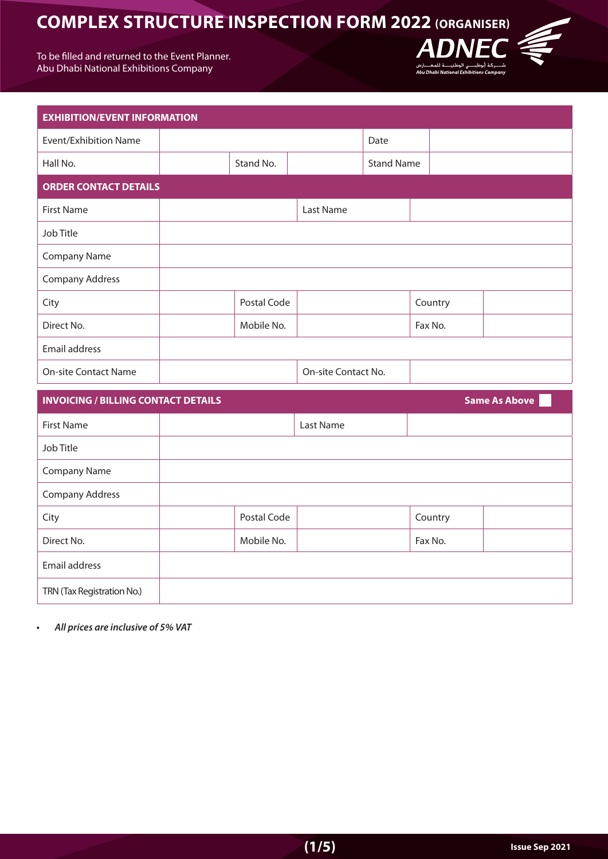To be filled and returned to the Event Planner. Abu Dhabi National Exhibitions Company



**DNEC** 

سیست اوست است.<br>Abu Dhabi National Exhibitions Company

 $\boldsymbol{\varDelta}$ 

| <b>Same As Above</b><br><b>INVOICING / BILLING CONTACT DETAILS</b> |             |           |         |  |
|--------------------------------------------------------------------|-------------|-----------|---------|--|
| First Name                                                         |             | Last Name |         |  |
| Job Title                                                          |             |           |         |  |
| <b>Company Name</b>                                                |             |           |         |  |
| Company Address                                                    |             |           |         |  |
| City                                                               | Postal Code |           | Country |  |
| Direct No.                                                         | Mobile No.  |           | Fax No. |  |
| Email address                                                      |             |           |         |  |
| TRN (Tax Registration No.)                                         |             |           |         |  |

**•** All prices are inclusive of 5% VAT

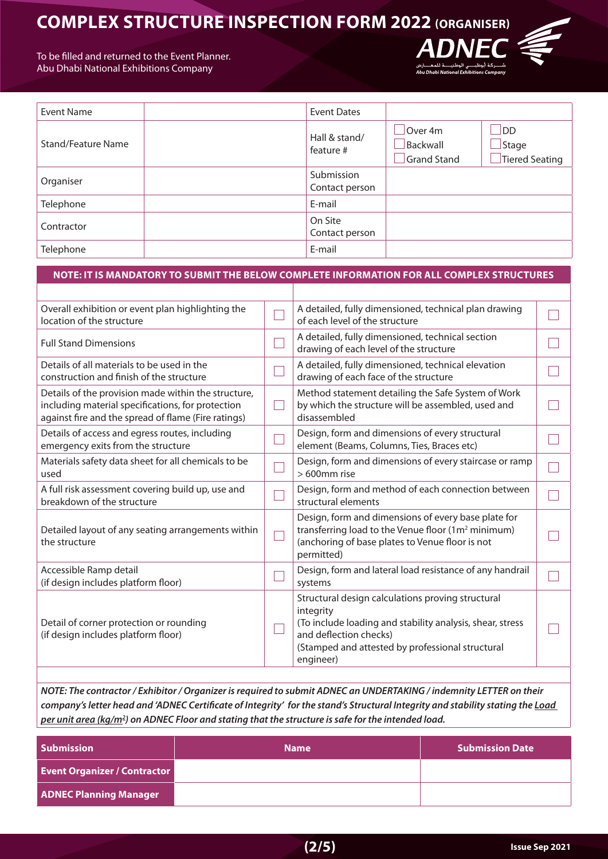To be filled and returned to the Event Planner. Abu Dhabi National Exhibitions Company

| <b>Event Name</b>  | Event Dates                  |                                           |                                             |
|--------------------|------------------------------|-------------------------------------------|---------------------------------------------|
| Stand/Feature Name | Hall & stand/<br>feature #   | $\Box$ Over 4m<br>Backwall<br>Grand Stand | $\Box$ DD<br>$\Box$ Stage<br>Tiered Seating |
| Organiser          | Submission<br>Contact person |                                           |                                             |
| Telephone          | E-mail                       |                                           |                                             |
| Contractor         | On Site<br>Contact person    |                                           |                                             |
| Telephone          | E-mail                       |                                           |                                             |

**ADNEC** 

Abu Dhabi Na

|                                                                                                                                                                 | NOTE: IT IS MANDATORY TO SUBMIT THE BELOW COMPLETE INFORMATION FOR ALL COMPLEX STRUCTURES                                                                                                                              |  |
|-----------------------------------------------------------------------------------------------------------------------------------------------------------------|------------------------------------------------------------------------------------------------------------------------------------------------------------------------------------------------------------------------|--|
|                                                                                                                                                                 |                                                                                                                                                                                                                        |  |
| Overall exhibition or event plan highlighting the<br>location of the structure                                                                                  | A detailed, fully dimensioned, technical plan drawing<br>of each level of the structure                                                                                                                                |  |
| <b>Full Stand Dimensions</b>                                                                                                                                    | A detailed, fully dimensioned, technical section<br>drawing of each level of the structure                                                                                                                             |  |
| Details of all materials to be used in the<br>construction and finish of the structure                                                                          | A detailed, fully dimensioned, technical elevation<br>drawing of each face of the structure                                                                                                                            |  |
| Details of the provision made within the structure,<br>including material specifications, for protection<br>against fire and the spread of flame (Fire ratings) | Method statement detailing the Safe System of Work<br>by which the structure will be assembled, used and<br>disassembled                                                                                               |  |
| Details of access and egress routes, including<br>emergency exits from the structure                                                                            | Design, form and dimensions of every structural<br>element (Beams, Columns, Ties, Braces etc)                                                                                                                          |  |
| Materials safety data sheet for all chemicals to be<br>used                                                                                                     | Design, form and dimensions of every staircase or ramp<br>$>600$ mm rise                                                                                                                                               |  |
| A full risk assessment covering build up, use and<br>breakdown of the structure                                                                                 | Design, form and method of each connection between<br>structural elements                                                                                                                                              |  |
| Detailed layout of any seating arrangements within<br>the structure                                                                                             | Design, form and dimensions of every base plate for<br>transferring load to the Venue floor (1m <sup>2</sup> minimum)<br>(anchoring of base plates to Venue floor is not<br>permitted)                                 |  |
| Accessible Ramp detail<br>(if design includes platform floor)                                                                                                   | Design, form and lateral load resistance of any handrail<br>systems                                                                                                                                                    |  |
| Detail of corner protection or rounding<br>(if design includes platform floor)                                                                                  | Structural design calculations proving structural<br>integrity<br>(To include loading and stability analysis, shear, stress<br>and deflection checks)<br>(Stamped and attested by professional structural<br>engineer) |  |
|                                                                                                                                                                 |                                                                                                                                                                                                                        |  |

*NOTE: The contractor / Exhibitor / Organizer is required to submit ADNEC an UNDERTAKING / indemnity LETTER on their company's letter head and 'ADNEC Certificate of Integrity' for the stand's Structural Integrity and stability stating the Load 2m/kg (area unit per .load intended the for safe is structure the that stating and Floor ADNEC on)* 

| <b>Submission</b>                   | <b>Name</b> | <b>Submission Date</b> |
|-------------------------------------|-------------|------------------------|
| <b>Event Organizer / Contractor</b> |             |                        |
| <b>ADNEC Planning Manager</b>       |             |                        |

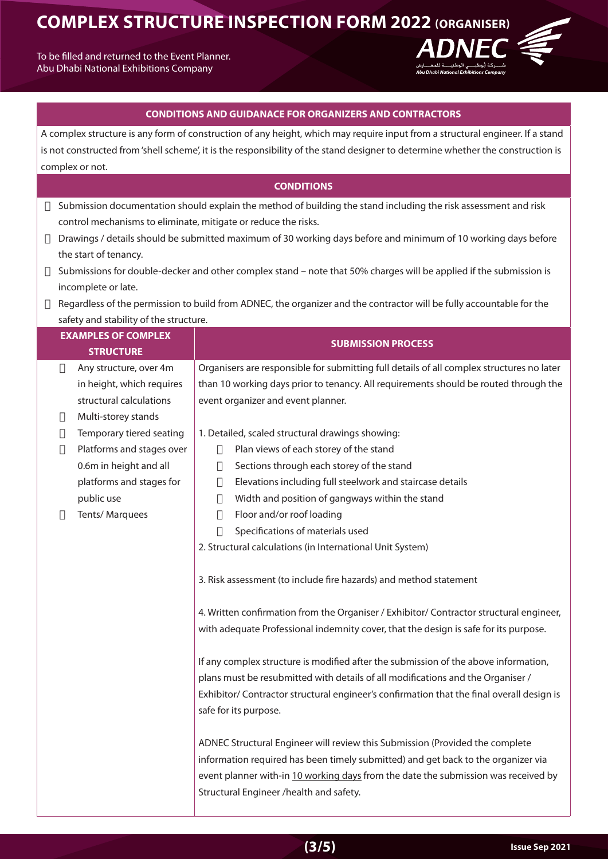To be filled and returned to the Event Planner. Abu Dhabi National Exhibitions Company



### **CONDITIONS AND GUIDANACE FOR ORGANIZERS AND CONTRACTORS**

A complex structure is any form of construction of any height, which may require input from a structural engineer. If a stand is not constructed from 'shell scheme', it is the responsibility of the stand designer to determine whether the construction is complex or not.

## **CONDITIONS**

- $\Box$  Submission documentation should explain the method of building the stand including the risk assessment and risk control mechanisms to eliminate, mitigate or reduce the risks.
- $\Box$  Drawings / details should be submitted maximum of 30 working days before and minimum of 10 working days before the start of tenancy.
- $\Box$  Submissions for double-decker and other complex stand note that 50% charges will be applied if the submission is incomplete or late.
- $\Box$  Regardless of the permission to build from ADNEC, the organizer and the contractor will be fully accountable for the safety and stability of the structure.

| <b>EXAMPLES OF COMPLEX</b><br><b>STRUCTURE</b> |                           | <b>SUBMISSION PROCESS</b>                                                                                                                                                                                                                                                                          |  |
|------------------------------------------------|---------------------------|----------------------------------------------------------------------------------------------------------------------------------------------------------------------------------------------------------------------------------------------------------------------------------------------------|--|
|                                                |                           |                                                                                                                                                                                                                                                                                                    |  |
| $\Box$                                         | Any structure, over 4m    | Organisers are responsible for submitting full details of all complex structures no later                                                                                                                                                                                                          |  |
|                                                | in height, which requires | than 10 working days prior to tenancy. All requirements should be routed through the                                                                                                                                                                                                               |  |
|                                                | structural calculations   | event organizer and event planner.                                                                                                                                                                                                                                                                 |  |
| $\Box$                                         | Multi-storey stands       |                                                                                                                                                                                                                                                                                                    |  |
| О                                              | Temporary tiered seating  | 1. Detailed, scaled structural drawings showing:                                                                                                                                                                                                                                                   |  |
| О                                              | Platforms and stages over | Plan views of each storey of the stand<br>$\Box$                                                                                                                                                                                                                                                   |  |
|                                                | 0.6m in height and all    | Sections through each storey of the stand<br>$\Box$                                                                                                                                                                                                                                                |  |
|                                                | platforms and stages for  | Elevations including full steelwork and staircase details<br>$\Box$                                                                                                                                                                                                                                |  |
|                                                | public use                | Width and position of gangways within the stand<br>$\Box$                                                                                                                                                                                                                                          |  |
| П                                              | Tents/Marquees            | Floor and/or roof loading<br>$\Box$                                                                                                                                                                                                                                                                |  |
|                                                |                           | $\Box$<br>Specifications of materials used                                                                                                                                                                                                                                                         |  |
|                                                |                           | 2. Structural calculations (in International Unit System)                                                                                                                                                                                                                                          |  |
|                                                |                           | 3. Risk assessment (to include fire hazards) and method statement                                                                                                                                                                                                                                  |  |
|                                                |                           | 4. Written confirmation from the Organiser / Exhibitor/ Contractor structural engineer,                                                                                                                                                                                                            |  |
|                                                |                           | with adequate Professional indemnity cover, that the design is safe for its purpose.                                                                                                                                                                                                               |  |
|                                                |                           | If any complex structure is modified after the submission of the above information,<br>plans must be resubmitted with details of all modifications and the Organiser /<br>Exhibitor/ Contractor structural engineer's confirmation that the final overall design is<br>safe for its purpose.       |  |
|                                                |                           | ADNEC Structural Engineer will review this Submission (Provided the complete<br>information required has been timely submitted) and get back to the organizer via<br>event planner with-in 10 working days from the date the submission was received by<br>Structural Engineer /health and safety. |  |

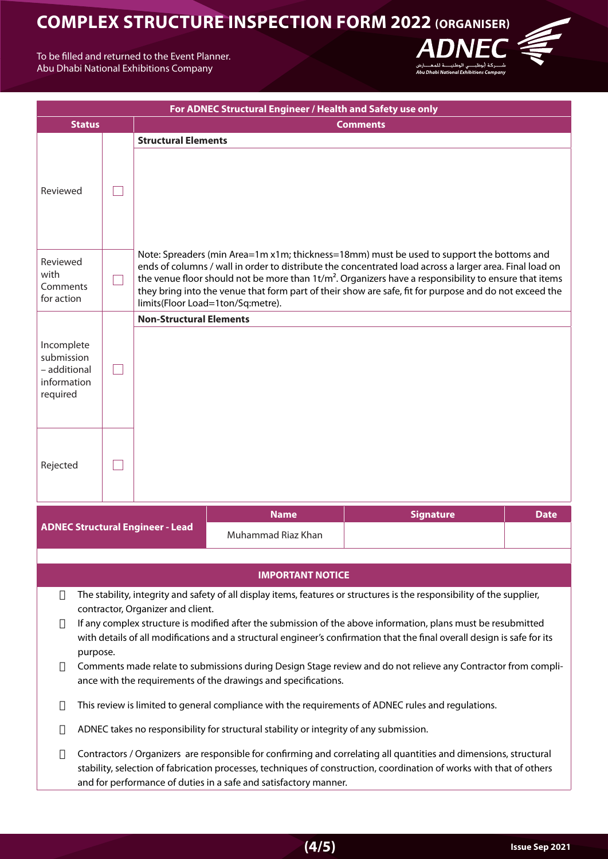**ADNEC** 

To be filled and returned to the Event Planner. Abu Dhabi National Exhibitions Company

| For ADNEC Structural Engineer / Health and Safety use only                                                                                                                                                                                                                                                                                                                                                                                                                                                                                                                                                              |                                                                                                                                                                                                                                                                                                               |             |                                                                                                                                                                                                                                                                                                                                                                                                                                                                |                         |  |  |
|-------------------------------------------------------------------------------------------------------------------------------------------------------------------------------------------------------------------------------------------------------------------------------------------------------------------------------------------------------------------------------------------------------------------------------------------------------------------------------------------------------------------------------------------------------------------------------------------------------------------------|---------------------------------------------------------------------------------------------------------------------------------------------------------------------------------------------------------------------------------------------------------------------------------------------------------------|-------------|----------------------------------------------------------------------------------------------------------------------------------------------------------------------------------------------------------------------------------------------------------------------------------------------------------------------------------------------------------------------------------------------------------------------------------------------------------------|-------------------------|--|--|
| <b>Status</b>                                                                                                                                                                                                                                                                                                                                                                                                                                                                                                                                                                                                           |                                                                                                                                                                                                                                                                                                               |             |                                                                                                                                                                                                                                                                                                                                                                                                                                                                | <b>Comments</b>         |  |  |
| Reviewed                                                                                                                                                                                                                                                                                                                                                                                                                                                                                                                                                                                                                |                                                                                                                                                                                                                                                                                                               |             | <b>Structural Elements</b>                                                                                                                                                                                                                                                                                                                                                                                                                                     |                         |  |  |
| Reviewed<br>with<br>Comments<br>for action                                                                                                                                                                                                                                                                                                                                                                                                                                                                                                                                                                              |                                                                                                                                                                                                                                                                                                               |             | Note: Spreaders (min Area=1m x1m; thickness=18mm) must be used to support the bottoms and<br>ends of columns / wall in order to distribute the concentrated load across a larger area. Final load on<br>the venue floor should not be more than $1t/m2$ . Organizers have a responsibility to ensure that items<br>they bring into the venue that form part of their show are safe, fit for purpose and do not exceed the<br>limits(Floor Load=1ton/Sq:metre). |                         |  |  |
|                                                                                                                                                                                                                                                                                                                                                                                                                                                                                                                                                                                                                         |                                                                                                                                                                                                                                                                                                               |             | <b>Non-Structural Elements</b>                                                                                                                                                                                                                                                                                                                                                                                                                                 |                         |  |  |
| Incomplete<br>submission<br>- additional<br>information<br>required                                                                                                                                                                                                                                                                                                                                                                                                                                                                                                                                                     |                                                                                                                                                                                                                                                                                                               |             |                                                                                                                                                                                                                                                                                                                                                                                                                                                                |                         |  |  |
| Rejected                                                                                                                                                                                                                                                                                                                                                                                                                                                                                                                                                                                                                |                                                                                                                                                                                                                                                                                                               |             |                                                                                                                                                                                                                                                                                                                                                                                                                                                                |                         |  |  |
|                                                                                                                                                                                                                                                                                                                                                                                                                                                                                                                                                                                                                         |                                                                                                                                                                                                                                                                                                               | <b>Name</b> | <b>Signature</b>                                                                                                                                                                                                                                                                                                                                                                                                                                               | <b>Date</b>             |  |  |
|                                                                                                                                                                                                                                                                                                                                                                                                                                                                                                                                                                                                                         |                                                                                                                                                                                                                                                                                                               |             | <b>ADNEC Structural Engineer - Lead</b>                                                                                                                                                                                                                                                                                                                                                                                                                        | Muhammad Riaz Khan      |  |  |
|                                                                                                                                                                                                                                                                                                                                                                                                                                                                                                                                                                                                                         |                                                                                                                                                                                                                                                                                                               |             |                                                                                                                                                                                                                                                                                                                                                                                                                                                                |                         |  |  |
|                                                                                                                                                                                                                                                                                                                                                                                                                                                                                                                                                                                                                         |                                                                                                                                                                                                                                                                                                               |             |                                                                                                                                                                                                                                                                                                                                                                                                                                                                | <b>IMPORTANT NOTICE</b> |  |  |
| The stability, integrity and safety of all display items, features or structures is the responsibility of the supplier,<br>▯<br>contractor, Organizer and client.<br>If any complex structure is modified after the submission of the above information, plans must be resubmitted<br>Ц<br>with details of all modifications and a structural engineer's confirmation that the final overall design is safe for its<br>purpose.<br>Comments made relate to submissions during Design Stage review and do not relieve any Contractor from compli-<br>Ц<br>ance with the requirements of the drawings and specifications. |                                                                                                                                                                                                                                                                                                               |             |                                                                                                                                                                                                                                                                                                                                                                                                                                                                |                         |  |  |
| П                                                                                                                                                                                                                                                                                                                                                                                                                                                                                                                                                                                                                       | This review is limited to general compliance with the requirements of ADNEC rules and regulations.                                                                                                                                                                                                            |             |                                                                                                                                                                                                                                                                                                                                                                                                                                                                |                         |  |  |
| Ц                                                                                                                                                                                                                                                                                                                                                                                                                                                                                                                                                                                                                       | ADNEC takes no responsibility for structural stability or integrity of any submission.                                                                                                                                                                                                                        |             |                                                                                                                                                                                                                                                                                                                                                                                                                                                                |                         |  |  |
| ▯                                                                                                                                                                                                                                                                                                                                                                                                                                                                                                                                                                                                                       | Contractors / Organizers are responsible for confirming and correlating all quantities and dimensions, structural<br>stability, selection of fabrication processes, techniques of construction, coordination of works with that of others<br>and for performance of duties in a safe and satisfactory manner. |             |                                                                                                                                                                                                                                                                                                                                                                                                                                                                |                         |  |  |